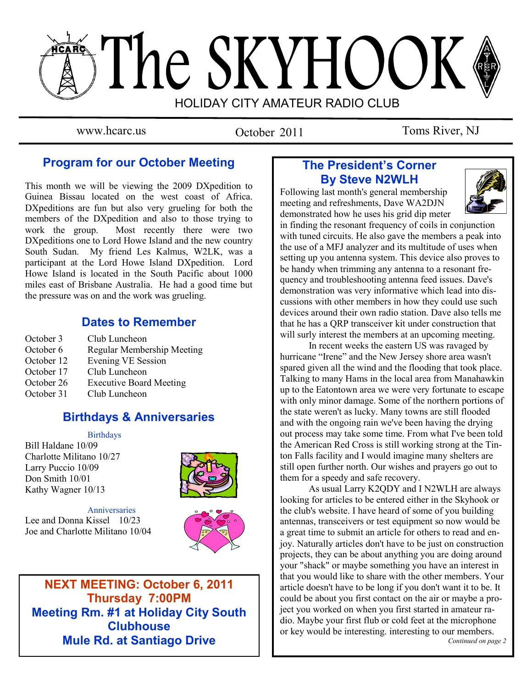# The SKYHOOK HOLIDAY CITY AMATEUR RADIO CLUB

October 2011

www.hcarc.us October 2011 Toms River, NJ

## **Program for our October Meeting**

This month we will be viewing the 2009 DXpedition to Guinea Bissau located on the west coast of Africa. DXpeditions are fun but also very grueling for both the members of the DXpedition and also to those trying to work the group. Most recently there were two DXpeditions one to Lord Howe Island and the new country South Sudan. My friend Les Kalmus, W2LK, was a participant at the Lord Howe Island DXpedition. Lord Howe Island is located in the South Pacific about 1000 miles east of Brisbane Australia. He had a good time but the pressure was on and the work was grueling.

## **Dates to Remember**

October 3 Club Luncheon October 6 Regular Membership Meeting October 12 Evening VE Session October 17 Club Luncheon<br>October 26 Executive Board Executive Board Meeting October 31 Club Luncheon

## **Birthdays & Anniversaries**

#### **Birthdays**

Bill Haldane 10/09 Charlotte Militano 10/27 Larry Puccio 10/09 Don Smith 10/01 Kathy Wagner 10/13



#### Anniversaries

Lee and Donna Kissel 10/23 Joe and Charlotte Militano 10/04



**NEXT MEETING: October 6, 2011 Thursday 7:00PM Meeting Rm. #1 at Holiday City South Clubhouse Mule Rd. at Santiago Drive**

## **The President's Corner By Steve N2WLH**

Following last month's general membership meeting and refreshments, Dave WA2DJN demonstrated how he uses his grid dip meter



in finding the resonant frequency of coils in conjunction with tuned circuits. He also gave the members a peak into the use of a MFJ analyzer and its multitude of uses when setting up you antenna system. This device also proves to be handy when trimming any antenna to a resonant frequency and troubleshooting antenna feed issues. Dave's demonstration was very informative which lead into discussions with other members in how they could use such devices around their own radio station. Dave also tells me that he has a QRP transceiver kit under construction that will surly interest the members at an upcoming meeting.

 In recent weeks the eastern US was ravaged by hurricane "Irene" and the New Jersey shore area wasn't spared given all the wind and the flooding that took place. Talking to many Hams in the local area from Manahawkin up to the Eatontown area we were very fortunate to escape with only minor damage. Some of the northern portions of the state weren't as lucky. Many towns are still flooded and with the ongoing rain we've been having the drying out process may take some time. From what I've been told the American Red Cross is still working strong at the Tinton Falls facility and I would imagine many shelters are still open further north. Our wishes and prayers go out to them for a speedy and safe recovery.

 As usual Larry K2QDY and I N2WLH are always looking for articles to be entered either in the Skyhook or the club's website. I have heard of some of you building antennas, transceivers or test equipment so now would be a great time to submit an article for others to read and enjoy. Naturally articles don't have to be just on construction projects, they can be about anything you are doing around your "shack" or maybe something you have an interest in that you would like to share with the other members. Your article doesn't have to be long if you don't want it to be. It could be about you first contact on the air or maybe a project you worked on when you first started in amateur radio. Maybe your first flub or cold feet at the microphone or key would be interesting. interesting to our members. *Continued on page 2*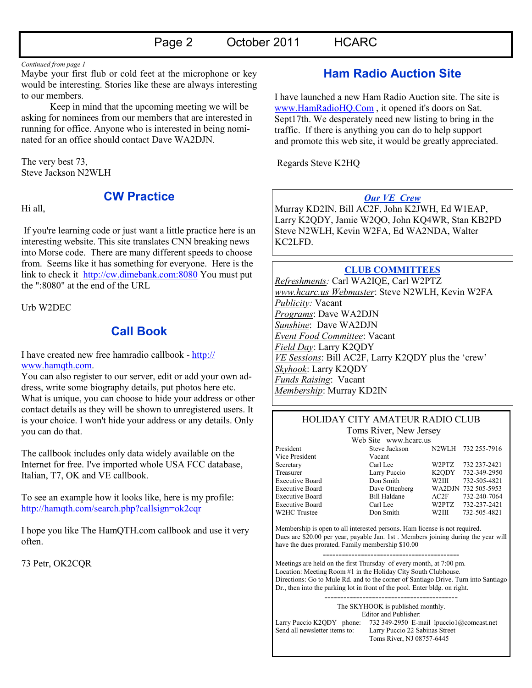*Continued from page 1*

Maybe your first flub or cold feet at the microphone or key would be interesting. Stories like these are always interesting to our members.

 Keep in mind that the upcoming meeting we will be asking for nominees from our members that are interested in running for office. Anyone who is interested in being nominated for an office should contact Dave WA2DJN.

The very best 73, Steve Jackson N2WLH

Hi all,

**CW Practice**

If you're learning code or just want a little practice here is an interesting website. This site translates CNN breaking news into Morse code. There are many different speeds to choose from. Seems like it has something for everyone. Here is the link to check it <http://cw.dimebank.com:8080> You must put the ":8080" at the end of the URL

Urb W2DEC

## **Call Book**

I have created new free hamradio callbook - [http://](http://www.hamqth.com) [www.hamqth.com.](http://www.hamqth.com)

You can also register to our server, edit or add your own address, write some biography details, put photos here etc. What is unique, you can choose to hide your address or other contact details as they will be shown to unregistered users. It is your choice. I won't hide your address or any details. Only you can do that.

The callbook includes only data widely available on the Internet for free. I've imported whole USA FCC database, Italian, T7, OK and VE callbook.

To see an example how it looks like, here is my profile: <http://hamqth.com/search.php?callsign=ok2cqr>

I hope you like The HamQTH.com callbook and use it very often.

73 Petr, OK2CQR

## **Ham Radio Auction Site**

I have launched a new Ham Radio Auction site. The site is [www.HamRadioHQ.Com](http://www.hamradiohq.com/) , it opened it's doors on Sat. Sept17th. We desperately need new listing to bring in the traffic. If there is anything you can do to help support and promote this web site, it would be greatly appreciated.

Regards Steve K2HQ

#### *Our VE Crew*

Murray KD2IN, Bill AC2F, John K2JWH, Ed W1EAP, Larry K2QDY, Jamie W2QO, John KQ4WR, Stan KB2PD Steve N2WLH, Kevin W2FA, Ed WA2NDA, Walter KC2LFD.

#### **CLUB COMMITTEES**

*Refreshments:* Carl WA2IQE, Carl W2PTZ *www.hcarc.us Webmaster*: Steve N2WLH, Kevin W2FA *Publicity:* Vacant *Programs*: Dave WA2DJN *Sunshine*: Dave WA2DJN *Event Food Committee*: Vacant *Field Day*: Larry K2QDY *VE Sessions*: Bill AC2F, Larry K2QDY plus the 'crew' *Skyhook*: Larry K2QDY *Funds Raising*: Vacant *Membership*: Murray KD2IN

#### HOLIDAY CITY AMATEUR RADIO CLUB Toms River, New Jersey

| Web Site www.hcarc.us  |                     |                    |                     |
|------------------------|---------------------|--------------------|---------------------|
| President              | Steve Jackson       |                    | N2WLH 732 255-7916  |
| Vice President         | Vacant              |                    |                     |
| Secretary              | Carl Lee            | W2PTZ              | 732 237-2421        |
| Treasurer              | Larry Puccio        | K <sub>2</sub> ODY | 732-349-2950        |
| <b>Executive Board</b> | Don Smith           | W <sub>2</sub> III | 732-505-4821        |
| <b>Executive Board</b> | Dave Ottenberg      |                    | WA2DJN 732 505-5953 |
| <b>Executive Board</b> | <b>Bill Haldane</b> | AC2F               | 732-240-7064        |
| <b>Executive Board</b> | Carl Lee            | W2PTZ              | 732-237-2421        |
| W2HC Trustee           | Don Smith           | W2III              | 732-505-4821        |

Membership is open to all interested persons. Ham license is not required. Dues are \$20.00 per year, payable Jan. 1st . Members joining during the year will have the dues prorated. Family membership \$10.00

------------------------------------------- Meetings are held on the first Thursday of every month, at 7:00 pm. Location: Meeting Room #1 in the Holiday City South Clubhouse. Directions: Go to Mule Rd. and to the corner of Santiago Drive. Turn into Santiago Dr., then into the parking lot in front of the pool. Enter bldg. on right.

The SKYHOOK is published monthly. Editor and Publisher: Larry Puccio K2QDY phone: 732 349-2950 E-mail lpuccio1@comcast.net<br>Send all newsletter items to: Larry Puccio 22 Sabinas Street Larry Puccio 22 Sabinas Street Toms River, NJ 08757-6445

------------------------------------------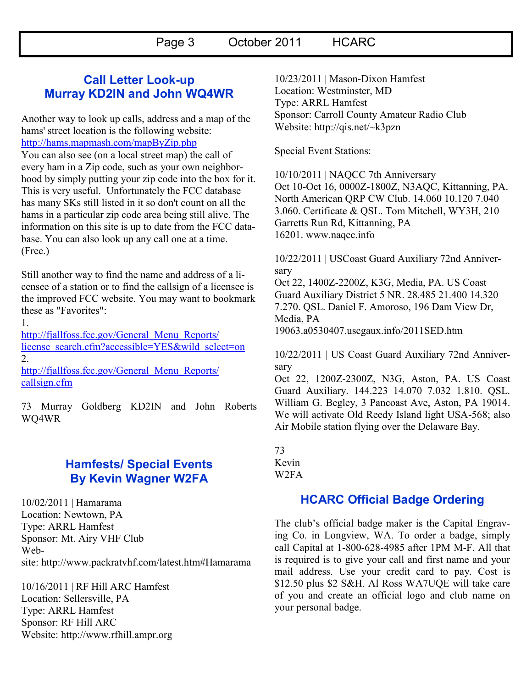## **Call Letter Look-up Murray KD2IN and John WQ4WR**

Another way to look up calls, address and a map of the hams' street location is the following website: <http://hams.mapmash.com/mapByZip.php>

You can also see (on a local street map) the call of every ham in a Zip code, such as your own neighborhood by simply putting your zip code into the box for it. This is very useful. Unfortunately the FCC database has many SKs still listed in it so don't count on all the hams in a particular zip code area being still alive. The information on this site is up to date from the FCC database. You can also look up any call one at a time. (Free.)

Still another way to find the name and address of a licensee of a station or to find the callsign of a licensee is the improved FCC website. You may want to bookmark these as "Favorites":

1.

[http://fjallfoss.fcc.gov/General\\_Menu\\_Reports/](http://fjallfoss.fcc.gov/General_Menu_Reports/license_search.cfm?accessible=YES&wild_select=on) [license\\_search.cfm?accessible=YES&wild\\_select=on](http://fjallfoss.fcc.gov/General_Menu_Reports/license_search.cfm?accessible=YES&wild_select=on) 2.

[http://fjallfoss.fcc.gov/General\\_Menu\\_Reports/](http://fjallfoss.fcc.gov/General_Menu_Reports/callsign.cfm) [callsign.cfm](http://fjallfoss.fcc.gov/General_Menu_Reports/callsign.cfm)

73 Murray Goldberg KD2IN and John Roberts WQ4WR

## **Hamfests/ Special Events By Kevin Wagner W2FA**

10/02/2011 | [Hamarama](http://www.arrl.org/hamfests/hamarama-1) Location: Newtown, PA Type: ARRL Hamfest Sponsor: Mt. Airy VHF Club Website: <http://www.packratvhf.com/latest.htm#Hamarama>

10/16/2011 | [RF Hill ARC Hamfest](http://www.arrl.org/hamfests/rf-hill-arc-hamfest) Location: Sellersville, PA Type: ARRL Hamfest Sponsor: RF Hill ARC Website: <http://www.rfhill.ampr.org> 10/23/2011 | [Mason-Dixon Hamfest](http://www.arrl.org/hamfests/mason-dixon-hamfest-1) Location: Westminster, MD Type: ARRL Hamfest Sponsor: Carroll County Amateur Radio Club Website: [http://qis.net/~k3pzn](http://qis.net/%7Ek3pzn)

Special Event Stations:

10/10/2011 | NAQCC 7th Anniversary Oct 10-Oct 16, 0000Z-1800Z, N3AQC, Kittanning, PA. North American QRP CW Club. 14.060 10.120 7.040 3.060. Certificate & QSL. Tom Mitchell, WY3H, 210 Garretts Run Rd, Kittanning, PA 16201. [www.naqcc.info](http://www.naqcc.info/)

10/22/2011 | USCoast Guard Auxiliary 72nd Anniversary

Oct 22, 1400Z-2200Z, K3G, Media, PA. US Coast Guard Auxiliary District 5 NR. 28.485 21.400 14.320 7.270. QSL. Daniel F. Amoroso, 196 Dam View Dr, Media, PA 19063[.a0530407.uscgaux.info/2011SED.htm](http://a0530407.uscgaux.info/2011SED.htm)

10/22/2011 | US Coast Guard Auxiliary 72nd Anniversary

Oct 22, 1200Z-2300Z, N3G, Aston, PA. US Coast Guard Auxiliary. 144.223 14.070 7.032 1.810. QSL. William G. Begley, 3 Pancoast Ave, Aston, PA 19014. We will activate Old Reedy Island light USA-568; also Air Mobile station flying over the Delaware Bay.

73 Kevin W2FA

## **HCARC Official Badge Ordering**

The club"s official badge maker is the Capital Engraving Co. in Longview, WA. To order a badge, simply call Capital at 1-800-628-4985 after 1PM M-F. All that is required is to give your call and first name and your mail address. Use your credit card to pay. Cost is \$12.50 plus \$2 S&H. Al Ross WA7UQE will take care of you and create an official logo and club name on your personal badge.